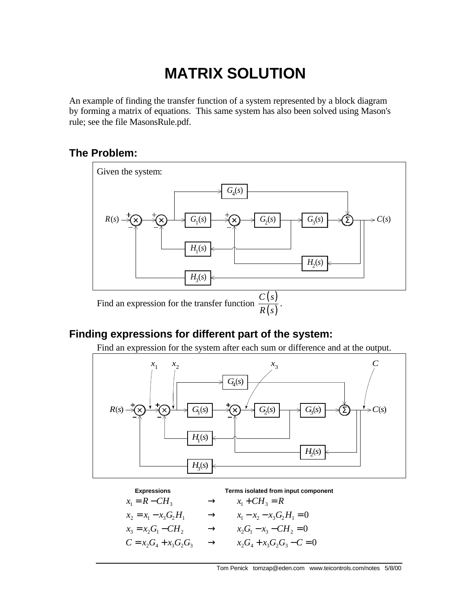# **MATRIX SOLUTION**

An example of finding the transfer function of a system represented by a block diagram by forming a matrix of equations. This same system has also been solved using Mason's rule; see the file MasonsRule.pdf.

#### **The Problem:**



### **Finding expressions for different part of the system:**



| <b>Expressions</b>        |               | Terms isolated from input component |
|---------------------------|---------------|-------------------------------------|
| $x_1 = R - CH_3$          | $\rightarrow$ | $x_1 + CH_3 = R$                    |
| $x_2 = x_1 - x_3 G_2 H_1$ | $\rightarrow$ | $x_1 - x_2 - x_3 G_2 H_1 = 0$       |
| $x_3 = x_2G_1 - CH_2$     | $\rightarrow$ | $x_2G_1 - x_3 - CH_2 = 0$           |
| $C = x_2G_4 + x_3G_2G_3$  | $\rightarrow$ | $x_2G_4 + x_3G_2G_3 - C = 0$        |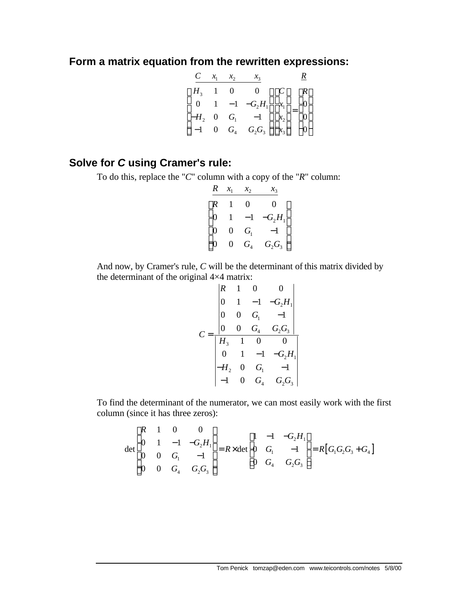### **Form a matrix equation from the rewritten expressions:**

|  | $C \quad x_1 \quad x_2 \quad x_3$                                                                                                                                                                                             |  | $\mathbf{R}$ |  |
|--|-------------------------------------------------------------------------------------------------------------------------------------------------------------------------------------------------------------------------------|--|--------------|--|
|  | $\begin{bmatrix} H_3 & 1 & 0 & 0 \\ 0 & 1 & -1 & -G_2H_1 \\ -H_2 & 0 & G_1 & -1 \\ -1 & 0 & G_4 & G_2G_3 \end{bmatrix} \begin{bmatrix} C \\ x_1 \\ x_2 \\ x_3 \end{bmatrix} = \begin{bmatrix} R \\ 0 \\ 0 \\ 0 \end{bmatrix}$ |  |              |  |
|  |                                                                                                                                                                                                                               |  |              |  |
|  |                                                                                                                                                                                                                               |  |              |  |
|  |                                                                                                                                                                                                                               |  |              |  |

## **Solve for** *C* **using Cramer's rule:**

To do this, replace the "*C*" column with a copy of the "*R*" column:

| R | $\mathcal{X}_1$ | $x_2$                        | $\mathcal{X}_3$ |
|---|-----------------|------------------------------|-----------------|
| R |                 | 0                            | 0               |
| 0 |                 |                              | $-G_2H_1$       |
| 0 | 0               | $G_{\!\scriptscriptstyle 1}$ |                 |
|   |                 | $G_{\scriptscriptstyle 4}$   | $G_2G_3$        |

And now, by Cramer's rule, *C* will be the determinant of this matrix divided by the determinant of the original 4×4 matrix:

$$
C = \begin{vmatrix} R & 1 & 0 & 0 \\ 0 & 1 & -1 & -G_2H_1 \\ 0 & 0 & G_1 & -1 \\ 0 & 0 & G_4 & G_2G_3 \\ \hline H_3 & 1 & 0 & 0 \\ 0 & 1 & -1 & -G_2H_1 \\ -H_2 & 0 & G_1 & -1 \\ -1 & 0 & G_4 & G_2G_3 \end{vmatrix}
$$

To find the determinant of the numerator, we can most easily work with the first column (since it has three zeros):

$$
\det\begin{bmatrix} R & 1 & 0 & 0 \\ 0 & 1 & -1 & -G_2H_1 \\ 0 & 0 & G_1 & -1 \\ 0 & 0 & G_4 & G_2G_3 \end{bmatrix} = R \times \det\begin{bmatrix} 1 & -1 & -G_2H_1 \\ 0 & G_1 & -1 \\ 0 & G_4 & G_2G_3 \end{bmatrix} = R \begin{bmatrix} G_1G_2G_3 + G_4 \end{bmatrix}
$$